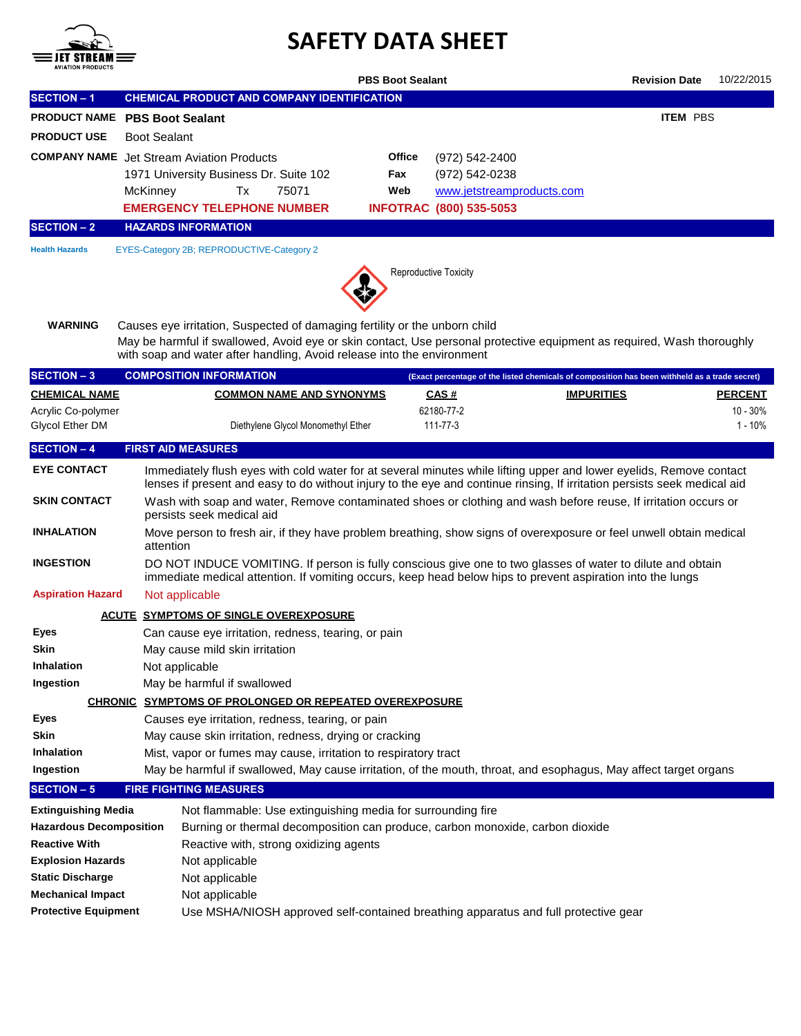

## **SAFETY DATA SHEET**

|                                                        |                                                                                                                                                                                     |                                                                                                                                                                                                                                                                                | <b>PBS Boot Sealant</b> |                                                                                                 |                                                                                               | <b>Revision Date</b> | 10/22/2015          |  |  |  |  |
|--------------------------------------------------------|-------------------------------------------------------------------------------------------------------------------------------------------------------------------------------------|--------------------------------------------------------------------------------------------------------------------------------------------------------------------------------------------------------------------------------------------------------------------------------|-------------------------|-------------------------------------------------------------------------------------------------|-----------------------------------------------------------------------------------------------|----------------------|---------------------|--|--|--|--|
| <b>SECTION - 1</b>                                     |                                                                                                                                                                                     | <b>CHEMICAL PRODUCT AND COMPANY IDENTIFICATION</b>                                                                                                                                                                                                                             |                         |                                                                                                 |                                                                                               |                      |                     |  |  |  |  |
| PRODUCT NAME PBS Boot Sealant                          |                                                                                                                                                                                     |                                                                                                                                                                                                                                                                                |                         |                                                                                                 |                                                                                               | <b>ITEM PBS</b>      |                     |  |  |  |  |
| <b>PRODUCT USE</b>                                     | <b>Boot Sealant</b>                                                                                                                                                                 |                                                                                                                                                                                                                                                                                |                         |                                                                                                 |                                                                                               |                      |                     |  |  |  |  |
|                                                        | McKinney                                                                                                                                                                            | <b>COMPANY NAME</b> Jet Stream Aviation Products<br>1971 University Business Dr. Suite 102<br>Tx<br>75071<br><b>EMERGENCY TELEPHONE NUMBER</b>                                                                                                                                 | Office<br>Fax<br>Web    | (972) 542-2400<br>(972) 542-0238<br>www.jetstreamproducts.com<br><b>INFOTRAC (800) 535-5053</b> |                                                                                               |                      |                     |  |  |  |  |
| <b>SECTION - 2</b>                                     |                                                                                                                                                                                     | <b>HAZARDS INFORMATION</b>                                                                                                                                                                                                                                                     |                         |                                                                                                 |                                                                                               |                      |                     |  |  |  |  |
| <b>Health Hazards</b>                                  |                                                                                                                                                                                     | EYES-Category 2B; REPRODUCTIVE-Category 2                                                                                                                                                                                                                                      | Reproductive Toxicity   |                                                                                                 |                                                                                               |                      |                     |  |  |  |  |
| <b>WARNING</b>                                         |                                                                                                                                                                                     | Causes eye irritation, Suspected of damaging fertility or the unborn child<br>May be harmful if swallowed, Avoid eye or skin contact, Use personal protective equipment as required, Wash thoroughly<br>with soap and water after handling, Avoid release into the environment |                         |                                                                                                 |                                                                                               |                      |                     |  |  |  |  |
| <b>SECTION - 3</b>                                     |                                                                                                                                                                                     | <b>COMPOSITION INFORMATION</b>                                                                                                                                                                                                                                                 |                         |                                                                                                 | (Exact percentage of the listed chemicals of composition has been withheld as a trade secret) |                      |                     |  |  |  |  |
| <b>CHEMICAL NAME</b>                                   |                                                                                                                                                                                     | <b>COMMON NAME AND SYNONYMS</b>                                                                                                                                                                                                                                                |                         | <u>CAS #</u>                                                                                    | <b>IMPURITIES</b>                                                                             |                      | <b>PERCENT</b>      |  |  |  |  |
| Acrylic Co-polymer<br><b>Glycol Ether DM</b>           |                                                                                                                                                                                     | Diethylene Glycol Monomethyl Ether                                                                                                                                                                                                                                             |                         | 62180-77-2<br>111-77-3                                                                          |                                                                                               |                      | 10 - 30%<br>1 - 10% |  |  |  |  |
| <b>SECTION - 4</b>                                     |                                                                                                                                                                                     | <b>FIRST AID MEASURES</b>                                                                                                                                                                                                                                                      |                         |                                                                                                 |                                                                                               |                      |                     |  |  |  |  |
| <b>EYE CONTACT</b>                                     |                                                                                                                                                                                     | Immediately flush eyes with cold water for at several minutes while lifting upper and lower eyelids, Remove contact<br>lenses if present and easy to do without injury to the eye and continue rinsing, If irritation persists seek medical aid                                |                         |                                                                                                 |                                                                                               |                      |                     |  |  |  |  |
| <b>SKIN CONTACT</b>                                    |                                                                                                                                                                                     | Wash with soap and water, Remove contaminated shoes or clothing and wash before reuse, If irritation occurs or<br>persists seek medical aid                                                                                                                                    |                         |                                                                                                 |                                                                                               |                      |                     |  |  |  |  |
| <b>INHALATION</b>                                      |                                                                                                                                                                                     | Move person to fresh air, if they have problem breathing, show signs of overexposure or feel unwell obtain medical<br>attention                                                                                                                                                |                         |                                                                                                 |                                                                                               |                      |                     |  |  |  |  |
| <b>INGESTION</b>                                       |                                                                                                                                                                                     | DO NOT INDUCE VOMITING. If person is fully conscious give one to two glasses of water to dilute and obtain<br>immediate medical attention. If vomiting occurs, keep head below hips to prevent aspiration into the lungs                                                       |                         |                                                                                                 |                                                                                               |                      |                     |  |  |  |  |
| <b>Aspiration Hazard</b>                               |                                                                                                                                                                                     | Not applicable                                                                                                                                                                                                                                                                 |                         |                                                                                                 |                                                                                               |                      |                     |  |  |  |  |
|                                                        |                                                                                                                                                                                     | <b>ACUTE SYMPTOMS OF SINGLE OVEREXPOSURE</b>                                                                                                                                                                                                                                   |                         |                                                                                                 |                                                                                               |                      |                     |  |  |  |  |
| Eyes                                                   |                                                                                                                                                                                     | Can cause eye irritation, redness, tearing, or pain                                                                                                                                                                                                                            |                         |                                                                                                 |                                                                                               |                      |                     |  |  |  |  |
| Skin                                                   |                                                                                                                                                                                     | May cause mild skin irritation                                                                                                                                                                                                                                                 |                         |                                                                                                 |                                                                                               |                      |                     |  |  |  |  |
| Inhalation                                             |                                                                                                                                                                                     | Not applicable                                                                                                                                                                                                                                                                 |                         |                                                                                                 |                                                                                               |                      |                     |  |  |  |  |
| Ingestion                                              |                                                                                                                                                                                     | May be harmful if swallowed                                                                                                                                                                                                                                                    |                         |                                                                                                 |                                                                                               |                      |                     |  |  |  |  |
|                                                        |                                                                                                                                                                                     | <b>CHRONIC SYMPTOMS OF PROLONGED OR REPEATED OVEREXPOSURE</b>                                                                                                                                                                                                                  |                         |                                                                                                 |                                                                                               |                      |                     |  |  |  |  |
| Eyes                                                   |                                                                                                                                                                                     | Causes eye irritation, redness, tearing, or pain                                                                                                                                                                                                                               |                         |                                                                                                 |                                                                                               |                      |                     |  |  |  |  |
| Skin                                                   | May cause skin irritation, redness, drying or cracking                                                                                                                              |                                                                                                                                                                                                                                                                                |                         |                                                                                                 |                                                                                               |                      |                     |  |  |  |  |
| Inhalation<br>Ingestion                                | Mist, vapor or fumes may cause, irritation to respiratory tract<br>May be harmful if swallowed, May cause irritation, of the mouth, throat, and esophagus, May affect target organs |                                                                                                                                                                                                                                                                                |                         |                                                                                                 |                                                                                               |                      |                     |  |  |  |  |
| <b>SECTION - 5</b>                                     |                                                                                                                                                                                     | <b>FIRE FIGHTING MEASURES</b>                                                                                                                                                                                                                                                  |                         |                                                                                                 |                                                                                               |                      |                     |  |  |  |  |
|                                                        |                                                                                                                                                                                     |                                                                                                                                                                                                                                                                                |                         |                                                                                                 |                                                                                               |                      |                     |  |  |  |  |
| <b>Extinguishing Media</b>                             |                                                                                                                                                                                     | Not flammable: Use extinguishing media for surrounding fire<br>Burning or thermal decomposition can produce, carbon monoxide, carbon dioxide                                                                                                                                   |                         |                                                                                                 |                                                                                               |                      |                     |  |  |  |  |
| <b>Hazardous Decomposition</b><br><b>Reactive With</b> |                                                                                                                                                                                     |                                                                                                                                                                                                                                                                                |                         |                                                                                                 |                                                                                               |                      |                     |  |  |  |  |
| <b>Explosion Hazards</b>                               | Reactive with, strong oxidizing agents                                                                                                                                              |                                                                                                                                                                                                                                                                                |                         |                                                                                                 |                                                                                               |                      |                     |  |  |  |  |
| <b>Static Discharge</b>                                | Not applicable                                                                                                                                                                      |                                                                                                                                                                                                                                                                                |                         |                                                                                                 |                                                                                               |                      |                     |  |  |  |  |
| <b>Mechanical Impact</b>                               | Not applicable<br>Not applicable                                                                                                                                                    |                                                                                                                                                                                                                                                                                |                         |                                                                                                 |                                                                                               |                      |                     |  |  |  |  |
|                                                        |                                                                                                                                                                                     | <b>Protective Equipment</b><br>Use MSHA/NIOSH approved self-contained breathing apparatus and full protective gear                                                                                                                                                             |                         |                                                                                                 |                                                                                               |                      |                     |  |  |  |  |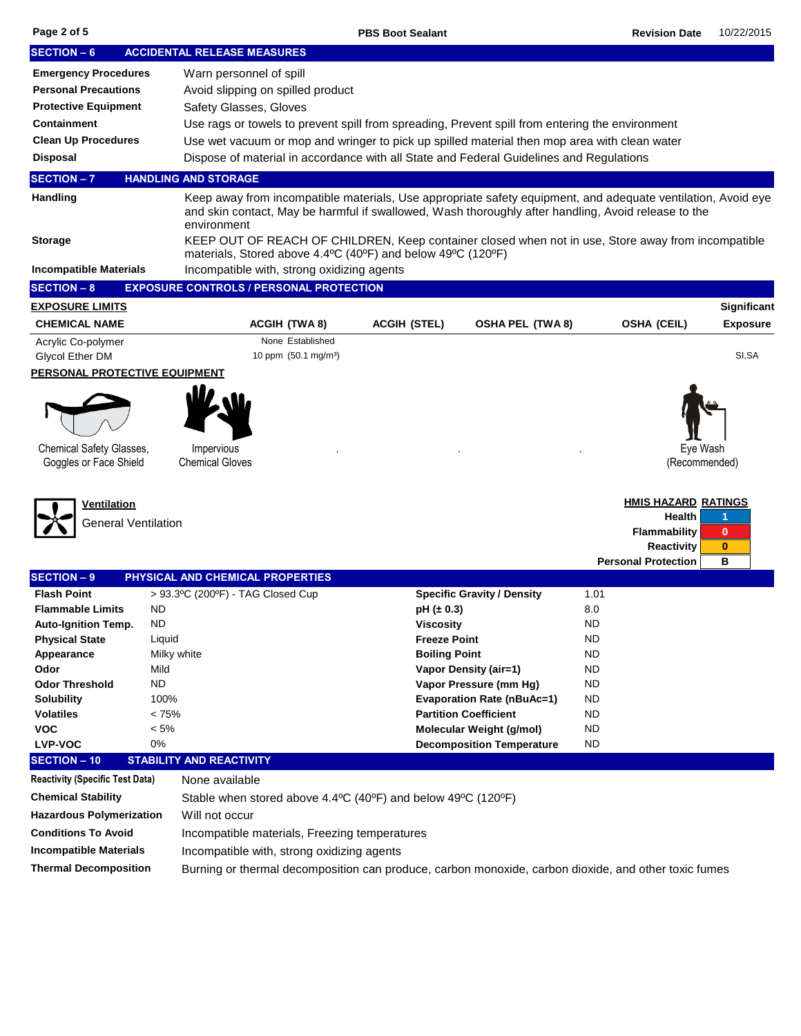| Page 2 of 5 |  |  |
|-------------|--|--|
|             |  |  |

| <b>SECTION - 6</b>                                                                        |             | <b>ACCIDENTAL RELEASE MEASURES</b>                                                                                                                                                                                                 |                      |                                   |           |                               |                 |
|-------------------------------------------------------------------------------------------|-------------|------------------------------------------------------------------------------------------------------------------------------------------------------------------------------------------------------------------------------------|----------------------|-----------------------------------|-----------|-------------------------------|-----------------|
| <b>Emergency Procedures</b>                                                               |             | Warn personnel of spill                                                                                                                                                                                                            |                      |                                   |           |                               |                 |
| <b>Personal Precautions</b>                                                               |             | Avoid slipping on spilled product                                                                                                                                                                                                  |                      |                                   |           |                               |                 |
| <b>Protective Equipment</b>                                                               |             | Safety Glasses, Gloves                                                                                                                                                                                                             |                      |                                   |           |                               |                 |
| <b>Containment</b>                                                                        |             | Use rags or towels to prevent spill from spreading, Prevent spill from entering the environment                                                                                                                                    |                      |                                   |           |                               |                 |
| <b>Clean Up Procedures</b>                                                                |             | Use wet vacuum or mop and wringer to pick up spilled material then mop area with clean water                                                                                                                                       |                      |                                   |           |                               |                 |
| <b>Disposal</b>                                                                           |             | Dispose of material in accordance with all State and Federal Guidelines and Regulations                                                                                                                                            |                      |                                   |           |                               |                 |
| <b>SECTION-7</b>                                                                          |             | <b>HANDLING AND STORAGE</b>                                                                                                                                                                                                        |                      |                                   |           |                               |                 |
|                                                                                           |             |                                                                                                                                                                                                                                    |                      |                                   |           |                               |                 |
| Handling                                                                                  |             | Keep away from incompatible materials, Use appropriate safety equipment, and adequate ventilation, Avoid eye<br>and skin contact, May be harmful if swallowed, Wash thoroughly after handling, Avoid release to the<br>environment |                      |                                   |           |                               |                 |
| <b>Storage</b>                                                                            |             | KEEP OUT OF REACH OF CHILDREN, Keep container closed when not in use, Store away from incompatible<br>materials, Stored above 4.4°C (40°F) and below 49°C (120°F)                                                                  |                      |                                   |           |                               |                 |
| <b>Incompatible Materials</b>                                                             |             | Incompatible with, strong oxidizing agents                                                                                                                                                                                         |                      |                                   |           |                               |                 |
| <b>SECTION - 8</b>                                                                        |             | <b>EXPOSURE CONTROLS / PERSONAL PROTECTION</b>                                                                                                                                                                                     |                      |                                   |           |                               |                 |
| <b>EXPOSURE LIMITS</b>                                                                    |             |                                                                                                                                                                                                                                    |                      |                                   |           |                               | Significant     |
| <b>CHEMICAL NAME</b>                                                                      |             | <b>ACGIH (TWA8)</b>                                                                                                                                                                                                                | <b>ACGIH (STEL)</b>  | <b>OSHA PEL (TWA 8)</b>           |           | <b>OSHA (CEIL)</b>            | <b>Exposure</b> |
| Acrylic Co-polymer<br><b>Glycol Ether DM</b>                                              |             | None Established<br>10 ppm (50.1 mg/m <sup>3</sup> )                                                                                                                                                                               |                      |                                   |           |                               | SI, SA          |
| <u>PERSONAL PROTECTIVE EQUIPMENT</u>                                                      |             |                                                                                                                                                                                                                                    |                      |                                   |           |                               |                 |
|                                                                                           |             |                                                                                                                                                                                                                                    |                      |                                   |           |                               |                 |
|                                                                                           |             |                                                                                                                                                                                                                                    |                      |                                   |           |                               |                 |
| Chemical Safety Glasses,<br>Goggles or Face Shield                                        |             | Impervious<br><b>Chemical Gloves</b>                                                                                                                                                                                               |                      |                                   |           | Eye Wash<br>(Recommended)     |                 |
|                                                                                           |             |                                                                                                                                                                                                                                    |                      |                                   |           |                               |                 |
| <u>Ventilation</u>                                                                        |             |                                                                                                                                                                                                                                    |                      |                                   |           | <b>HMIS HAZARD RATINGS</b>    |                 |
| <b>General Ventilation</b>                                                                |             |                                                                                                                                                                                                                                    |                      |                                   |           | Health<br><b>Flammability</b> | 1<br>$\bf{0}$   |
|                                                                                           |             |                                                                                                                                                                                                                                    |                      |                                   |           | <b>Reactivity</b>             | $\bf{0}$        |
|                                                                                           |             |                                                                                                                                                                                                                                    |                      |                                   |           | <b>Personal Protection</b>    | в               |
| <b>SECTION - 9</b>                                                                        |             | PHYSICAL AND CHEMICAL PROPERTIES                                                                                                                                                                                                   |                      |                                   |           |                               |                 |
| <b>Flash Point</b>                                                                        |             | > 93.3°C (200°F) - TAG Closed Cup                                                                                                                                                                                                  |                      | <b>Specific Gravity / Density</b> | 1.01      |                               |                 |
| <b>Flammable Limits</b>                                                                   | ND          |                                                                                                                                                                                                                                    | $pH (\pm 0.3)$       |                                   | 8.0       |                               |                 |
| Auto-Ignition Temp.                                                                       | <b>ND</b>   |                                                                                                                                                                                                                                    | <b>Viscosity</b>     |                                   | <b>ND</b> |                               |                 |
| <b>Physical State</b>                                                                     | Liquid      |                                                                                                                                                                                                                                    | <b>Freeze Point</b>  |                                   | ND        |                               |                 |
| Appearance                                                                                | Milky white |                                                                                                                                                                                                                                    | <b>Boiling Point</b> |                                   | ND        |                               |                 |
| Odor                                                                                      | Mild        |                                                                                                                                                                                                                                    |                      | Vapor Density (air=1)             | <b>ND</b> |                               |                 |
| <b>Odor Threshold</b>                                                                     | <b>ND</b>   |                                                                                                                                                                                                                                    |                      | Vapor Pressure (mm Hg)            | <b>ND</b> |                               |                 |
| <b>Solubility</b>                                                                         | 100%        |                                                                                                                                                                                                                                    |                      | <b>Evaporation Rate (nBuAc=1)</b> | ND        |                               |                 |
| <b>Volatiles</b>                                                                          | < 75%       |                                                                                                                                                                                                                                    |                      | <b>Partition Coefficient</b>      | ND        |                               |                 |
| VOC                                                                                       | $< 5\%$     |                                                                                                                                                                                                                                    |                      | Molecular Weight (g/mol)          | ND        |                               |                 |
| <b>LVP-VOC</b>                                                                            | 0%          |                                                                                                                                                                                                                                    |                      | <b>Decomposition Temperature</b>  | <b>ND</b> |                               |                 |
| <b>SECTION - 10</b>                                                                       |             | <b>STABILITY AND REACTIVITY</b>                                                                                                                                                                                                    |                      |                                   |           |                               |                 |
| <b>Reactivity (Specific Test Data)</b>                                                    |             | None available                                                                                                                                                                                                                     |                      |                                   |           |                               |                 |
| <b>Chemical Stability</b><br>Stable when stored above 4.4°C (40°F) and below 49°C (120°F) |             |                                                                                                                                                                                                                                    |                      |                                   |           |                               |                 |
| <b>Hazardous Polymerization</b>                                                           |             | Will not occur                                                                                                                                                                                                                     |                      |                                   |           |                               |                 |
| <b>Conditions To Avoid</b>                                                                |             | Incompatible materials, Freezing temperatures                                                                                                                                                                                      |                      |                                   |           |                               |                 |
| <b>Incompatible Materials</b>                                                             |             | Incompatible with, strong oxidizing agents                                                                                                                                                                                         |                      |                                   |           |                               |                 |
| <b>Thermal Decomposition</b>                                                              |             | Burning or thermal decomposition can produce, carbon monoxide, carbon dioxide, and other toxic fumes                                                                                                                               |                      |                                   |           |                               |                 |
|                                                                                           |             |                                                                                                                                                                                                                                    |                      |                                   |           |                               |                 |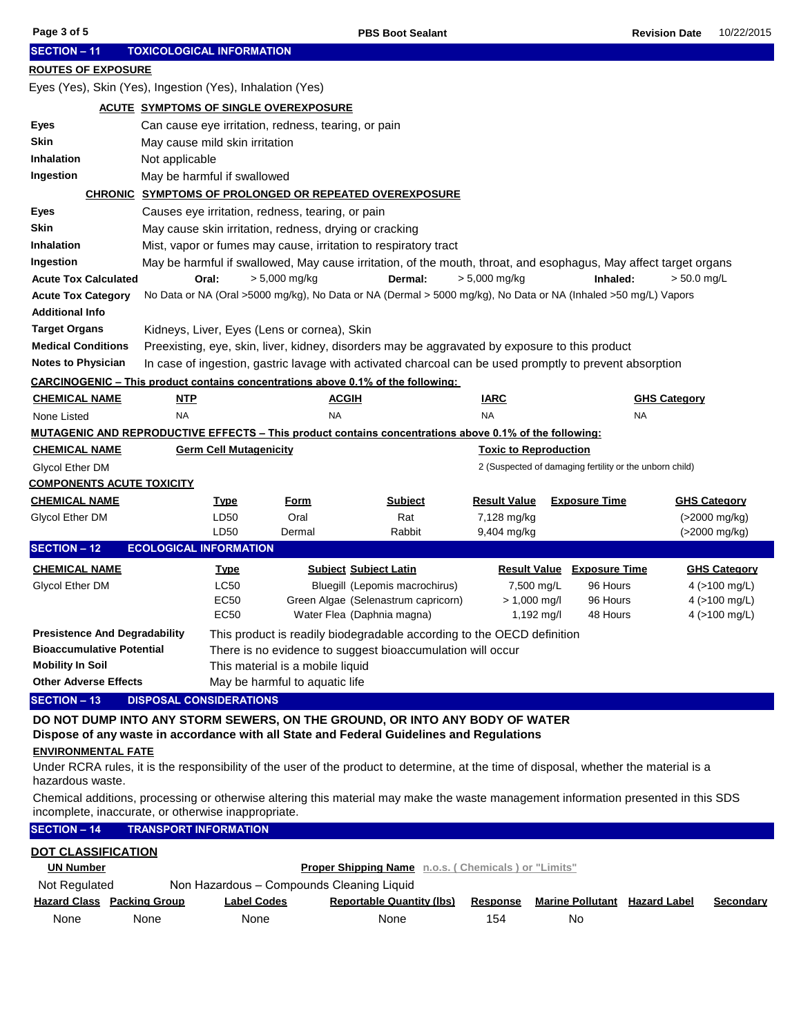| Page 3 of 5                                                                                                                                                                               |                                                                                                           |                                                     |                                                        | <b>PBS Boot Sealant</b>                                                                                          |                              |                                                         | <b>Revision Date</b> | 10/22/2015          |  |
|-------------------------------------------------------------------------------------------------------------------------------------------------------------------------------------------|-----------------------------------------------------------------------------------------------------------|-----------------------------------------------------|--------------------------------------------------------|------------------------------------------------------------------------------------------------------------------|------------------------------|---------------------------------------------------------|----------------------|---------------------|--|
| <b>SECTION - 11</b>                                                                                                                                                                       |                                                                                                           | <b>TOXICOLOGICAL INFORMATION</b>                    |                                                        |                                                                                                                  |                              |                                                         |                      |                     |  |
| <b>ROUTES OF EXPOSURE</b>                                                                                                                                                                 |                                                                                                           |                                                     |                                                        |                                                                                                                  |                              |                                                         |                      |                     |  |
|                                                                                                                                                                                           |                                                                                                           |                                                     |                                                        |                                                                                                                  |                              |                                                         |                      |                     |  |
|                                                                                                                                                                                           | Eyes (Yes), Skin (Yes), Ingestion (Yes), Inhalation (Yes)<br><b>ACUTE SYMPTOMS OF SINGLE OVEREXPOSURE</b> |                                                     |                                                        |                                                                                                                  |                              |                                                         |                      |                     |  |
|                                                                                                                                                                                           |                                                                                                           |                                                     |                                                        |                                                                                                                  |                              |                                                         |                      |                     |  |
| Eyes                                                                                                                                                                                      |                                                                                                           | Can cause eye irritation, redness, tearing, or pain |                                                        |                                                                                                                  |                              |                                                         |                      |                     |  |
| <b>Skin</b>                                                                                                                                                                               |                                                                                                           | May cause mild skin irritation                      |                                                        |                                                                                                                  |                              |                                                         |                      |                     |  |
| <b>Inhalation</b>                                                                                                                                                                         | Not applicable                                                                                            |                                                     |                                                        |                                                                                                                  |                              |                                                         |                      |                     |  |
| Ingestion                                                                                                                                                                                 |                                                                                                           | May be harmful if swallowed                         |                                                        |                                                                                                                  |                              |                                                         |                      |                     |  |
|                                                                                                                                                                                           |                                                                                                           |                                                     |                                                        | <b>CHRONIC SYMPTOMS OF PROLONGED OR REPEATED OVEREXPOSURE</b>                                                    |                              |                                                         |                      |                     |  |
| Eyes                                                                                                                                                                                      |                                                                                                           |                                                     | Causes eye irritation, redness, tearing, or pain       |                                                                                                                  |                              |                                                         |                      |                     |  |
| Skin                                                                                                                                                                                      |                                                                                                           |                                                     | May cause skin irritation, redness, drying or cracking |                                                                                                                  |                              |                                                         |                      |                     |  |
| Inhalation                                                                                                                                                                                |                                                                                                           |                                                     |                                                        | Mist, vapor or fumes may cause, irritation to respiratory tract                                                  |                              |                                                         |                      |                     |  |
| Ingestion                                                                                                                                                                                 |                                                                                                           |                                                     |                                                        | May be harmful if swallowed, May cause irritation, of the mouth, throat, and esophagus, May affect target organs |                              |                                                         |                      |                     |  |
| <b>Acute Tox Calculated</b>                                                                                                                                                               |                                                                                                           | Oral:                                               | $> 5,000$ mg/kg                                        | Dermal:                                                                                                          | $> 5,000$ mg/kg              | Inhaled:                                                | $> 50.0$ mg/L        |                     |  |
| <b>Acute Tox Category</b>                                                                                                                                                                 |                                                                                                           |                                                     |                                                        | No Data or NA (Oral >5000 mg/kg), No Data or NA (Dermal > 5000 mg/kg), No Data or NA (Inhaled >50 mg/L) Vapors   |                              |                                                         |                      |                     |  |
| <b>Additional Info</b>                                                                                                                                                                    |                                                                                                           |                                                     |                                                        |                                                                                                                  |                              |                                                         |                      |                     |  |
| <b>Target Organs</b>                                                                                                                                                                      |                                                                                                           |                                                     | Kidneys, Liver, Eyes (Lens or cornea), Skin            |                                                                                                                  |                              |                                                         |                      |                     |  |
| <b>Medical Conditions</b>                                                                                                                                                                 |                                                                                                           |                                                     |                                                        | Preexisting, eye, skin, liver, kidney, disorders may be aggravated by exposure to this product                   |                              |                                                         |                      |                     |  |
| <b>Notes to Physician</b>                                                                                                                                                                 |                                                                                                           |                                                     |                                                        | In case of ingestion, gastric lavage with activated charcoal can be used promptly to prevent absorption          |                              |                                                         |                      |                     |  |
| <b>CARCINOGENIC – This product contains concentrations above 0.1% of the following:</b>                                                                                                   |                                                                                                           |                                                     |                                                        |                                                                                                                  |                              |                                                         |                      |                     |  |
| <b>CHEMICAL NAME</b>                                                                                                                                                                      | <u>NTP</u>                                                                                                |                                                     | <b>ACGIH</b>                                           |                                                                                                                  | <u>IARC</u>                  |                                                         | <b>GHS Category</b>  |                     |  |
| None Listed                                                                                                                                                                               | <b>NA</b>                                                                                                 |                                                     | <b>NA</b>                                              |                                                                                                                  | <b>NA</b>                    |                                                         | NA                   |                     |  |
|                                                                                                                                                                                           |                                                                                                           |                                                     |                                                        | MUTAGENIC AND REPRODUCTIVE EFFECTS – This product contains concentrations above 0.1% of the following:           |                              |                                                         |                      |                     |  |
| <b>CHEMICAL NAME</b>                                                                                                                                                                      |                                                                                                           | <b>Germ Cell Mutagenicity</b>                       |                                                        |                                                                                                                  | <b>Toxic to Reproduction</b> |                                                         |                      |                     |  |
| Glycol Ether DM                                                                                                                                                                           |                                                                                                           |                                                     |                                                        |                                                                                                                  |                              | 2 (Suspected of damaging fertility or the unborn child) |                      |                     |  |
| <b>COMPONENTS ACUTE TOXICITY</b>                                                                                                                                                          |                                                                                                           |                                                     |                                                        |                                                                                                                  |                              |                                                         |                      |                     |  |
| <b>CHEMICAL NAME</b>                                                                                                                                                                      |                                                                                                           | <b>Type</b>                                         | <b>Form</b>                                            | <b>Subject</b>                                                                                                   | <b>Result Value</b>          | <b>Exposure Time</b>                                    |                      | <b>GHS Category</b> |  |
| <b>Glycol Ether DM</b>                                                                                                                                                                    |                                                                                                           | LD50                                                | Oral                                                   | Rat                                                                                                              | 7,128 mg/kg                  |                                                         |                      | (>2000 mg/kg)       |  |
|                                                                                                                                                                                           |                                                                                                           | LD50                                                | Dermal                                                 | Rabbit                                                                                                           | 9,404 mg/kg                  |                                                         |                      | (>2000 mg/kg)       |  |
| <b>SECTION - 12</b>                                                                                                                                                                       |                                                                                                           | <b>ECOLOGICAL INFORMATION</b>                       |                                                        |                                                                                                                  |                              |                                                         |                      |                     |  |
| <b>CHEMICAL NAME</b>                                                                                                                                                                      |                                                                                                           | <b>Type</b>                                         |                                                        | <b>Subject Subject Latin</b>                                                                                     |                              | <b>Result Value Exposure Time</b>                       |                      | <b>GHS Category</b> |  |
| <b>Glycol Ether DM</b>                                                                                                                                                                    |                                                                                                           | <b>LC50</b>                                         |                                                        | Bluegill (Lepomis macrochirus)                                                                                   | 7,500 mg/L                   | 96 Hours                                                |                      | 4 ( $>100$ mg/L)    |  |
|                                                                                                                                                                                           |                                                                                                           | <b>EC50</b>                                         |                                                        | Green Algae (Selenastrum capricorn)                                                                              | $> 1,000$ mg/l               | 96 Hours                                                |                      | 4 ( $>100$ mg/L)    |  |
|                                                                                                                                                                                           |                                                                                                           | <b>EC50</b>                                         |                                                        | Water Flea (Daphnia magna)                                                                                       | 1,192 mg/l                   | 48 Hours                                                |                      | 4 ( $>100$ mg/L)    |  |
| <b>Presistence And Degradability</b>                                                                                                                                                      |                                                                                                           |                                                     |                                                        | This product is readily biodegradable according to the OECD definition                                           |                              |                                                         |                      |                     |  |
| <b>Bioaccumulative Potential</b>                                                                                                                                                          |                                                                                                           |                                                     |                                                        | There is no evidence to suggest bioaccumulation will occur                                                       |                              |                                                         |                      |                     |  |
| <b>Mobility In Soil</b>                                                                                                                                                                   |                                                                                                           |                                                     | This material is a mobile liquid                       |                                                                                                                  |                              |                                                         |                      |                     |  |
| <b>Other Adverse Effects</b>                                                                                                                                                              |                                                                                                           |                                                     | May be harmful to aquatic life                         |                                                                                                                  |                              |                                                         |                      |                     |  |
| <b>SECTION - 13</b>                                                                                                                                                                       |                                                                                                           | <b>DISPOSAL CONSIDERATIONS</b>                      |                                                        |                                                                                                                  |                              |                                                         |                      |                     |  |
|                                                                                                                                                                                           |                                                                                                           |                                                     |                                                        | DO NOT DUMP INTO ANY STORM SEWERS, ON THE GROUND, OR INTO ANY BODY OF WATER                                      |                              |                                                         |                      |                     |  |
|                                                                                                                                                                                           |                                                                                                           |                                                     |                                                        | Dispose of any waste in accordance with all State and Federal Guidelines and Regulations                         |                              |                                                         |                      |                     |  |
| <b>ENVIRONMENTAL FATE</b>                                                                                                                                                                 |                                                                                                           |                                                     |                                                        |                                                                                                                  |                              |                                                         |                      |                     |  |
| Under RCRA rules, it is the responsibility of the user of the product to determine, at the time of disposal, whether the material is a                                                    |                                                                                                           |                                                     |                                                        |                                                                                                                  |                              |                                                         |                      |                     |  |
| hazardous waste.                                                                                                                                                                          |                                                                                                           |                                                     |                                                        |                                                                                                                  |                              |                                                         |                      |                     |  |
| Chemical additions, processing or otherwise altering this material may make the waste management information presented in this SDS<br>incomplete, inaccurate, or otherwise inappropriate. |                                                                                                           |                                                     |                                                        |                                                                                                                  |                              |                                                         |                      |                     |  |
| <b>SECTION - 14</b>                                                                                                                                                                       |                                                                                                           | <b>TRANSPORT INFORMATION</b>                        |                                                        |                                                                                                                  |                              |                                                         |                      |                     |  |
| <b>DOT CLASSIFICATION</b>                                                                                                                                                                 |                                                                                                           |                                                     |                                                        |                                                                                                                  |                              |                                                         |                      |                     |  |
| Proper Shipping Name n.o.s. (Chemicals) or "Limits"<br><b>UN Number</b>                                                                                                                   |                                                                                                           |                                                     |                                                        |                                                                                                                  |                              |                                                         |                      |                     |  |
| Not Regulated                                                                                                                                                                             |                                                                                                           |                                                     | Non Hazardous - Compounds Cleaning Liquid              |                                                                                                                  |                              |                                                         |                      |                     |  |
| <b>Hazard Class Packing Group</b>                                                                                                                                                         |                                                                                                           | <b>Label Codes</b>                                  |                                                        | <b>Reportable Quantity (lbs)</b>                                                                                 | <b>Response</b>              | <b>Marine Pollutant</b> Hazard Label                    |                      | <b>Secondary</b>    |  |
| None                                                                                                                                                                                      | None                                                                                                      | None                                                |                                                        | None                                                                                                             | 154                          | No                                                      |                      |                     |  |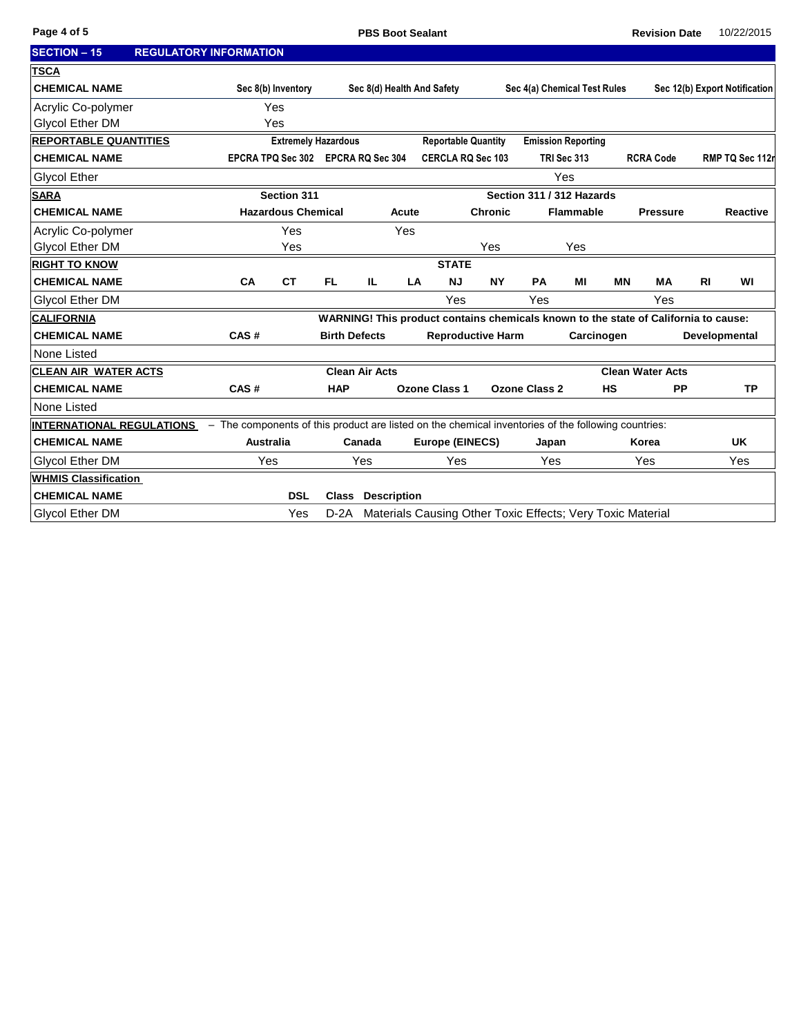| <b>SECTION - 15</b>              | <b>REGULATORY INFORMATION</b> |                                                                                                     |                            |                       |                    |                                                                                     |                          |                              |                           |           |                         |           |                               |
|----------------------------------|-------------------------------|-----------------------------------------------------------------------------------------------------|----------------------------|-----------------------|--------------------|-------------------------------------------------------------------------------------|--------------------------|------------------------------|---------------------------|-----------|-------------------------|-----------|-------------------------------|
| <b>TSCA</b>                      |                               |                                                                                                     |                            |                       |                    |                                                                                     |                          |                              |                           |           |                         |           |                               |
| <b>CHEMICAL NAME</b>             |                               | Sec 8(b) Inventory                                                                                  |                            |                       |                    | Sec 8(d) Health And Safety                                                          |                          | Sec 4(a) Chemical Test Rules |                           |           |                         |           | Sec 12(b) Export Notification |
| Acrylic Co-polymer               |                               | Yes                                                                                                 |                            |                       |                    |                                                                                     |                          |                              |                           |           |                         |           |                               |
| <b>Glycol Ether DM</b>           |                               | Yes                                                                                                 |                            |                       |                    |                                                                                     |                          |                              |                           |           |                         |           |                               |
| <b>REPORTABLE QUANTITIES</b>     |                               |                                                                                                     | <b>Extremely Hazardous</b> |                       |                    | <b>Reportable Quantity</b>                                                          |                          |                              | <b>Emission Reporting</b> |           |                         |           |                               |
| <b>CHEMICAL NAME</b>             |                               | EPCRA TPQ Sec 302 EPCRA RQ Sec 304                                                                  |                            |                       |                    | <b>CERCLA RQ Sec 103</b>                                                            |                          |                              | TRI Sec 313               |           | <b>RCRA Code</b>        |           | RMP TQ Sec 112r               |
| Glycol Ether                     |                               |                                                                                                     |                            |                       |                    |                                                                                     |                          |                              | Yes                       |           |                         |           |                               |
| <b>SARA</b>                      |                               | Section 311                                                                                         |                            |                       |                    |                                                                                     |                          | Section 311 / 312 Hazards    |                           |           |                         |           |                               |
| <b>CHEMICAL NAME</b>             |                               | <b>Hazardous Chemical</b>                                                                           |                            |                       | Acute              |                                                                                     | <b>Chronic</b>           |                              | <b>Flammable</b>          |           | <b>Pressure</b>         |           | <b>Reactive</b>               |
| Acrylic Co-polymer               |                               | Yes                                                                                                 |                            |                       | Yes                |                                                                                     |                          |                              |                           |           |                         |           |                               |
| <b>Glycol Ether DM</b>           |                               | Yes                                                                                                 |                            |                       |                    |                                                                                     | Yes                      |                              | Yes                       |           |                         |           |                               |
| <b>RIGHT TO KNOW</b>             |                               |                                                                                                     |                            |                       |                    | <b>STATE</b>                                                                        |                          |                              |                           |           |                         |           |                               |
| <b>CHEMICAL NAME</b>             | CA                            | <b>CT</b>                                                                                           | FL.                        | IL.                   | LA                 | <b>NJ</b>                                                                           | <b>NY</b>                | PA                           | MI                        | <b>MN</b> | <b>MA</b>               | <b>RI</b> | WI                            |
| <b>Glycol Ether DM</b>           |                               |                                                                                                     |                            |                       |                    | Yes                                                                                 |                          | Yes                          |                           |           | Yes                     |           |                               |
| <b>CALIFORNIA</b>                |                               |                                                                                                     |                            |                       |                    | WARNING! This product contains chemicals known to the state of California to cause: |                          |                              |                           |           |                         |           |                               |
| <b>CHEMICAL NAME</b>             | CAS#                          |                                                                                                     |                            | <b>Birth Defects</b>  |                    |                                                                                     | <b>Reproductive Harm</b> |                              | Carcinogen                |           |                         |           | Developmental                 |
| None Listed                      |                               |                                                                                                     |                            |                       |                    |                                                                                     |                          |                              |                           |           |                         |           |                               |
| <b>CLEAN AIR WATER ACTS</b>      |                               |                                                                                                     |                            | <b>Clean Air Acts</b> |                    |                                                                                     |                          |                              |                           |           | <b>Clean Water Acts</b> |           |                               |
| <b>CHEMICAL NAME</b>             | CAS#                          |                                                                                                     | <b>HAP</b>                 |                       |                    | <b>Ozone Class 1</b>                                                                |                          | <b>Ozone Class 2</b>         |                           | <b>HS</b> | <b>PP</b>               |           | <b>TP</b>                     |
| None Listed                      |                               |                                                                                                     |                            |                       |                    |                                                                                     |                          |                              |                           |           |                         |           |                               |
| <b>INTERNATIONAL REGULATIONS</b> |                               | - The components of this product are listed on the chemical inventories of the following countries: |                            |                       |                    |                                                                                     |                          |                              |                           |           |                         |           |                               |
| <b>CHEMICAL NAME</b>             |                               | <b>Australia</b>                                                                                    |                            | Canada                |                    | <b>Europe (EINECS)</b>                                                              |                          | Japan                        |                           |           | Korea                   |           | <b>UK</b>                     |
| <b>Glycol Ether DM</b>           |                               | Yes                                                                                                 |                            | Yes                   |                    | Yes                                                                                 |                          | Yes                          |                           |           | Yes                     |           | Yes                           |
| <b>WHMIS Classification</b>      |                               |                                                                                                     |                            |                       |                    |                                                                                     |                          |                              |                           |           |                         |           |                               |
| <b>CHEMICAL NAME</b>             |                               | <b>DSL</b>                                                                                          | <b>Class</b>               |                       | <b>Description</b> |                                                                                     |                          |                              |                           |           |                         |           |                               |
| Glycol Ether DM                  |                               | Yes                                                                                                 | $D-2A$                     |                       |                    | Materials Causing Other Toxic Effects; Very Toxic Material                          |                          |                              |                           |           |                         |           |                               |